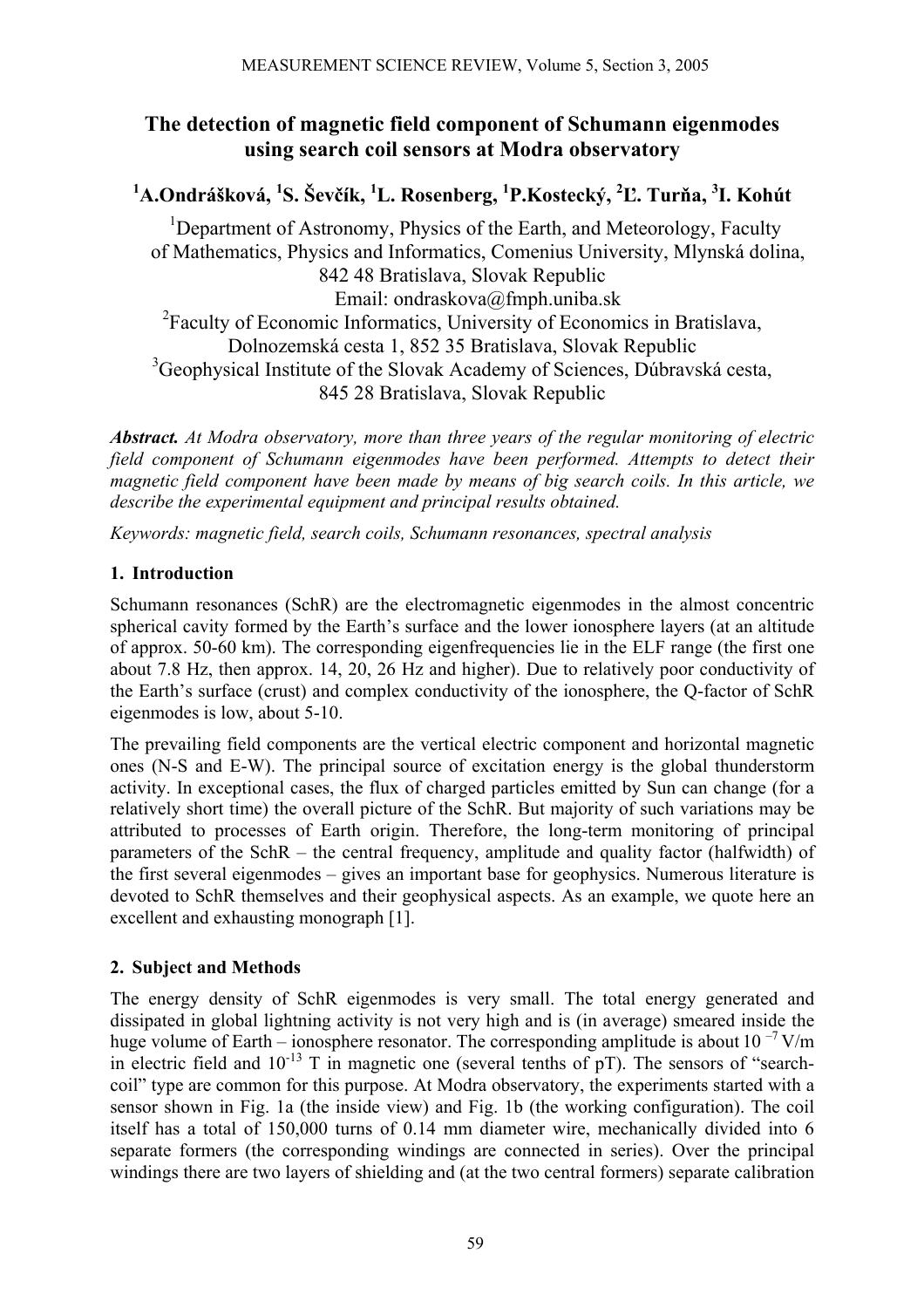# **The detection of magnetic field component of Schumann eigenmodes using search coil sensors at Modra observatory**

## **1 A.Ondrášková, 1 S. Ševčík, 1 L. Rosenberg, <sup>1</sup> P.Kostecký, 2 Ľ. Turňa, 3 I. Kohút**

<sup>1</sup>Department of Astronomy, Physics of the Earth, and Meteorology, Faculty of Mathematics, Physics and Informatics, Comenius University, Mlynská dolina, 842 48 Bratislava, Slovak Republic Email: ondraskova@fmph.uniba.sk <sup>2</sup> Faculty of Economic Informatics, University of Economics in Bratislava, Dolnozemská cesta 1, 852 35 Bratislava, Slovak Republic <sup>3</sup>Geophysical Institute of the Slovak Academy of Sciences, Dúbravská cesta, 845 28 Bratislava, Slovak Republic

*Abstract. At Modra observatory, more than three years of the regular monitoring of electric field component of Schumann eigenmodes have been performed. Attempts to detect their magnetic field component have been made by means of big search coils. In this article, we describe the experimental equipment and principal results obtained.* 

*Keywords: magnetic field, search coils, Schumann resonances, spectral analysis* 

## **1. Introduction**

Schumann resonances (SchR) are the electromagnetic eigenmodes in the almost concentric spherical cavity formed by the Earth's surface and the lower ionosphere layers (at an altitude of approx. 50-60 km). The corresponding eigenfrequencies lie in the ELF range (the first one about 7.8 Hz, then approx. 14, 20, 26 Hz and higher). Due to relatively poor conductivity of the Earth's surface (crust) and complex conductivity of the ionosphere, the Q-factor of SchR eigenmodes is low, about 5-10.

The prevailing field components are the vertical electric component and horizontal magnetic ones (N-S and E-W). The principal source of excitation energy is the global thunderstorm activity. In exceptional cases, the flux of charged particles emitted by Sun can change (for a relatively short time) the overall picture of the SchR. But majority of such variations may be attributed to processes of Earth origin. Therefore, the long-term monitoring of principal parameters of the SchR – the central frequency, amplitude and quality factor (halfwidth) of the first several eigenmodes – gives an important base for geophysics. Numerous literature is devoted to SchR themselves and their geophysical aspects. As an example, we quote here an excellent and exhausting monograph [1].

## **2. Subject and Methods**

The energy density of SchR eigenmodes is very small. The total energy generated and dissipated in global lightning activity is not very high and is (in average) smeared inside the huge volume of Earth – ionosphere resonator. The corresponding amplitude is about 10<sup> $-7$ </sup> V/m in electric field and  $10^{-13}$  T in magnetic one (several tenths of pT). The sensors of "searchcoil" type are common for this purpose. At Modra observatory, the experiments started with a sensor shown in Fig. 1a (the inside view) and Fig. 1b (the working configuration). The coil itself has a total of 150,000 turns of 0.14 mm diameter wire, mechanically divided into 6 separate formers (the corresponding windings are connected in series). Over the principal windings there are two layers of shielding and (at the two central formers) separate calibration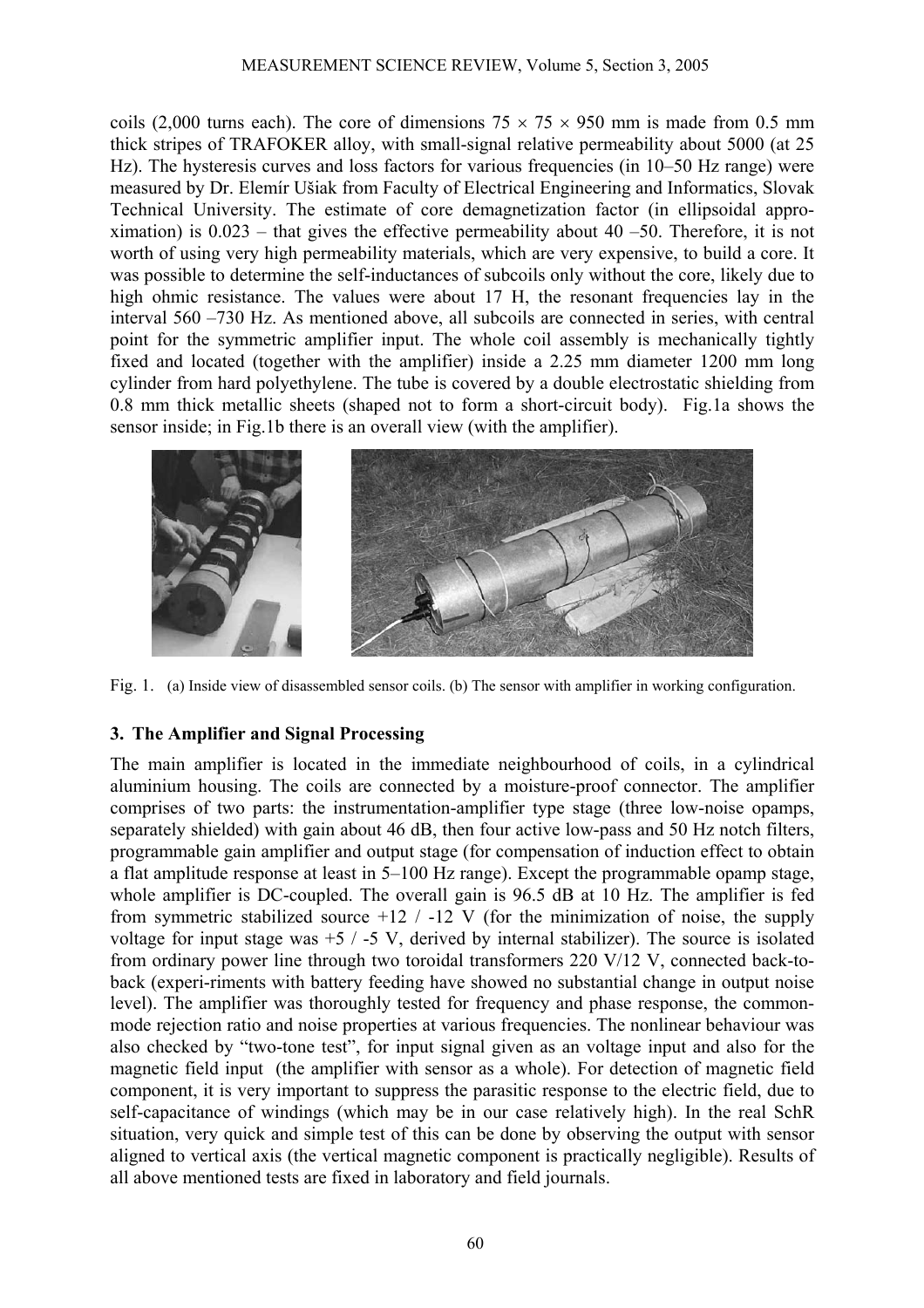coils (2,000 turns each). The core of dimensions  $75 \times 75 \times 950$  mm is made from 0.5 mm thick stripes of TRAFOKER alloy, with small-signal relative permeability about 5000 (at 25 Hz). The hysteresis curves and loss factors for various frequencies (in 10–50 Hz range) were measured by Dr. Elemír Ušiak from Faculty of Electrical Engineering and Informatics, Slovak Technical University. The estimate of core demagnetization factor (in ellipsoidal approximation) is  $0.023$  – that gives the effective permeability about 40 –50. Therefore, it is not worth of using very high permeability materials, which are very expensive, to build a core. It was possible to determine the self-inductances of subcoils only without the core, likely due to high ohmic resistance. The values were about 17 H, the resonant frequencies lay in the interval 560 –730 Hz. As mentioned above, all subcoils are connected in series, with central point for the symmetric amplifier input. The whole coil assembly is mechanically tightly fixed and located (together with the amplifier) inside a 2.25 mm diameter 1200 mm long cylinder from hard polyethylene. The tube is covered by a double electrostatic shielding from 0.8 mm thick metallic sheets (shaped not to form a short-circuit body). Fig.1a shows the sensor inside; in Fig.1b there is an overall view (with the amplifier).



Fig. 1. (a) Inside view of disassembled sensor coils. (b) The sensor with amplifier in working configuration.

### **3. The Amplifier and Signal Processing**

The main amplifier is located in the immediate neighbourhood of coils, in a cylindrical aluminium housing. The coils are connected by a moisture-proof connector. The amplifier comprises of two parts: the instrumentation-amplifier type stage (three low-noise opamps, separately shielded) with gain about 46 dB, then four active low-pass and 50 Hz notch filters, programmable gain amplifier and output stage (for compensation of induction effect to obtain a flat amplitude response at least in 5–100 Hz range). Except the programmable opamp stage, whole amplifier is DC-coupled. The overall gain is 96.5 dB at 10 Hz. The amplifier is fed from symmetric stabilized source  $+12$  /  $-12$  V (for the minimization of noise, the supply voltage for input stage was  $+5$  / -5 V, derived by internal stabilizer). The source is isolated from ordinary power line through two toroidal transformers 220 V/12 V, connected back-toback (experi-riments with battery feeding have showed no substantial change in output noise level). The amplifier was thoroughly tested for frequency and phase response, the commonmode rejection ratio and noise properties at various frequencies. The nonlinear behaviour was also checked by "two-tone test", for input signal given as an voltage input and also for the magnetic field input (the amplifier with sensor as a whole). For detection of magnetic field component, it is very important to suppress the parasitic response to the electric field, due to self-capacitance of windings (which may be in our case relatively high). In the real SchR situation, very quick and simple test of this can be done by observing the output with sensor aligned to vertical axis (the vertical magnetic component is practically negligible). Results of all above mentioned tests are fixed in laboratory and field journals.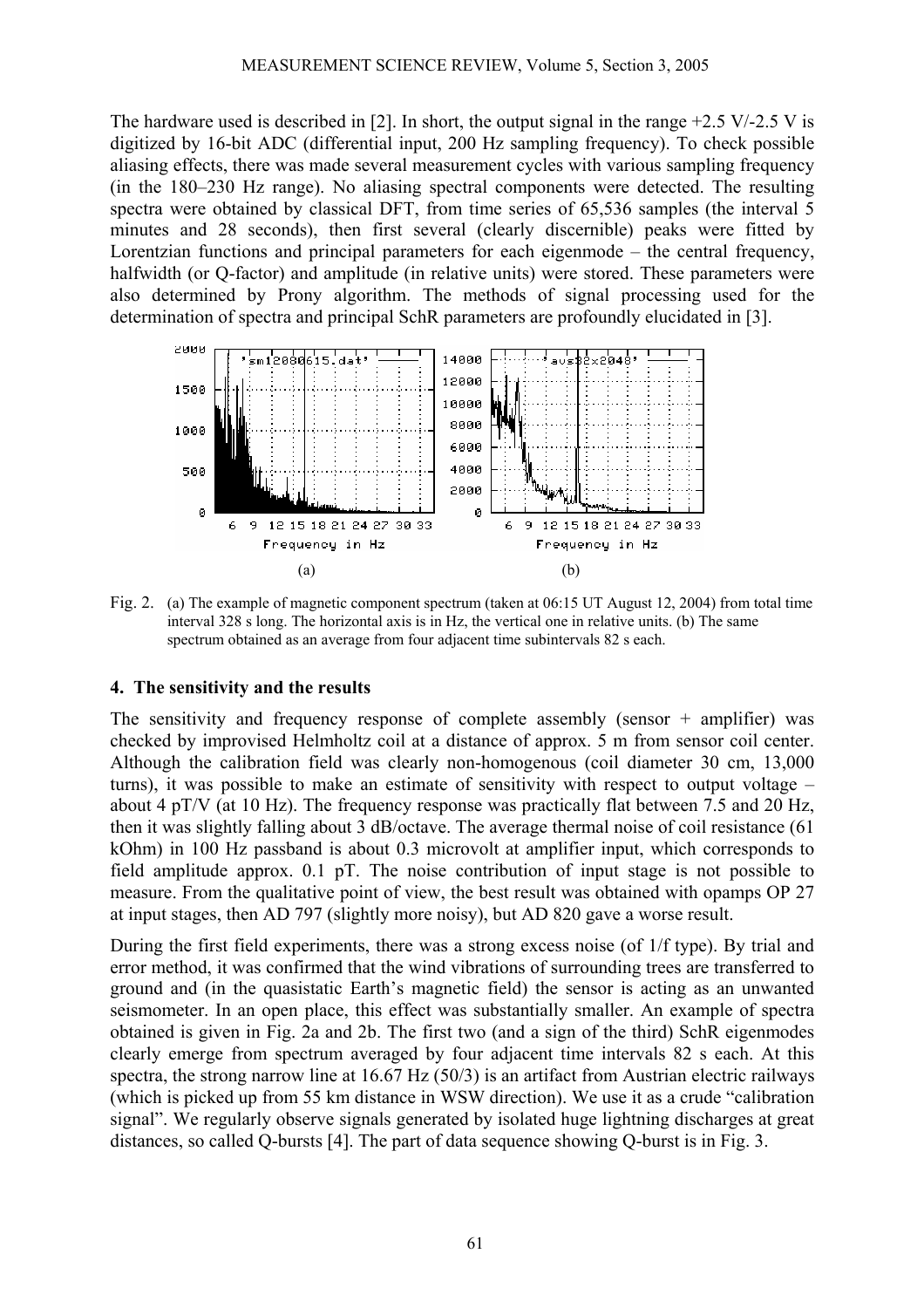The hardware used is described in [2]. In short, the output signal in the range  $+2.5$  V/-2.5 V is digitized by 16-bit ADC (differential input, 200 Hz sampling frequency). To check possible aliasing effects, there was made several measurement cycles with various sampling frequency (in the 180–230 Hz range). No aliasing spectral components were detected. The resulting spectra were obtained by classical DFT, from time series of 65,536 samples (the interval 5 minutes and 28 seconds), then first several (clearly discernible) peaks were fitted by Lorentzian functions and principal parameters for each eigenmode – the central frequency, halfwidth (or Q-factor) and amplitude (in relative units) were stored. These parameters were also determined by Prony algorithm. The methods of signal processing used for the determination of spectra and principal SchR parameters are profoundly elucidated in [3].



Fig. 2. (a) The example of magnetic component spectrum (taken at 06:15 UT August 12, 2004) from total time interval 328 s long. The horizontal axis is in Hz, the vertical one in relative units. (b) The same spectrum obtained as an average from four adjacent time subintervals 82 s each.

#### **4. The sensitivity and the results**

The sensitivity and frequency response of complete assembly (sensor  $+$  amplifier) was checked by improvised Helmholtz coil at a distance of approx. 5 m from sensor coil center. Although the calibration field was clearly non-homogenous (coil diameter 30 cm, 13,000 turns), it was possible to make an estimate of sensitivity with respect to output voltage – about 4 pT/V (at 10 Hz). The frequency response was practically flat between 7.5 and 20 Hz, then it was slightly falling about 3 dB/octave. The average thermal noise of coil resistance (61 kOhm) in 100 Hz passband is about 0.3 microvolt at amplifier input, which corresponds to field amplitude approx. 0.1 pT. The noise contribution of input stage is not possible to measure. From the qualitative point of view, the best result was obtained with opamps OP 27 at input stages, then AD 797 (slightly more noisy), but AD 820 gave a worse result.

During the first field experiments, there was a strong excess noise (of 1/f type). By trial and error method, it was confirmed that the wind vibrations of surrounding trees are transferred to ground and (in the quasistatic Earth's magnetic field) the sensor is acting as an unwanted seismometer. In an open place, this effect was substantially smaller. An example of spectra obtained is given in Fig. 2a and 2b. The first two (and a sign of the third) SchR eigenmodes clearly emerge from spectrum averaged by four adjacent time intervals 82 s each. At this spectra, the strong narrow line at 16.67 Hz (50/3) is an artifact from Austrian electric railways (which is picked up from 55 km distance in WSW direction). We use it as a crude "calibration signal". We regularly observe signals generated by isolated huge lightning discharges at great distances, so called Q-bursts [4]. The part of data sequence showing Q-burst is in Fig. 3.